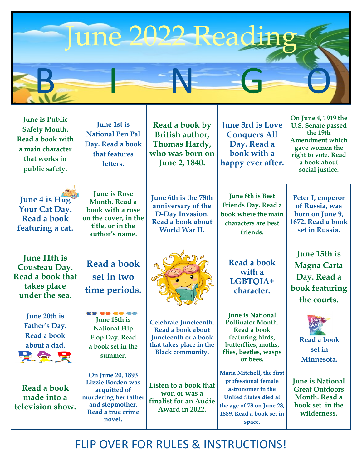|  | une 2022 Reading |  |
|--|------------------|--|
|  |                  |  |

| <b>June is Public</b><br><b>Safety Month.</b><br>Read a book with<br>a main character<br>that works in<br>public safety. | June 1st is<br><b>National Pen Pal</b><br>Day. Read a book<br>that features<br>letters.                                         | Read a book by<br>British author,<br>Thomas Hardy,<br>who was born on<br><b>June 2, 1840.</b>                            | <b>June 3rd is Love</b><br><b>Conquers All</b><br>Day. Read a<br>book with a<br>happy ever after.                                                                        | On June 4, 1919 the<br><b>U.S. Senate passed</b><br>the 19th<br><b>Amendment which</b><br>gave women the<br>right to vote. Read<br>a book about<br>social justice. |
|--------------------------------------------------------------------------------------------------------------------------|---------------------------------------------------------------------------------------------------------------------------------|--------------------------------------------------------------------------------------------------------------------------|--------------------------------------------------------------------------------------------------------------------------------------------------------------------------|--------------------------------------------------------------------------------------------------------------------------------------------------------------------|
| June 4 is Hug<br>Your Cat Day.<br>Read a book<br>featuring a cat.                                                        | <b>June is Rose</b><br>Month. Read a<br>book with a rose<br>on the cover, in the<br>title, or in the<br>author's name.          | <b>June 6th is the 78th</b><br>anniversary of the<br>D-Day Invasion.<br>Read a book about<br>World War II.               | <b>June 8th is Best</b><br>Friends Day. Read a<br>book where the main<br>characters are best<br>friends.                                                                 | Peter I, emperor<br>of Russia, was<br>born on June 9,<br>1672. Read a book<br>set in Russia.                                                                       |
| <b>June 11th is</b><br><b>Cousteau Day.</b><br>Read a book that<br>takes place<br>under the sea.                         | <b>Read a book</b><br>set in two<br>time periods.                                                                               |                                                                                                                          | <b>Read a book</b><br>with a<br>LGBTQIA+<br>character.                                                                                                                   | June 15th is<br><b>Magna Carta</b><br>Day. Read a<br>book featuring<br>the courts.                                                                                 |
| June 20th is<br>Father's Day.<br>Read a book<br>about a dad.<br>吴全吴                                                      | <b>39 39 39 39</b><br>June 18th is<br><b>National Flip</b><br>Flop Day. Read<br>a book set in the<br>summer.                    | Celebrate Juneteenth.<br>Read a book about<br>Juneteenth or a book<br>that takes place in the<br><b>Black community.</b> | <b>June is National</b><br><b>Pollinator Month.</b><br>Read a book<br>featuring birds,<br>butterflies, moths,<br>flies, beetles, wasps<br>or bees.                       | <b>Read a book</b><br>set in<br>Minnesota.                                                                                                                         |
| Read a book<br>made into a<br>television show.                                                                           | On June 20, 1893<br>Lizzie Borden was<br>acquitted of<br>murdering her father<br>and stepmother.<br>Read a true crime<br>novel. | Listen to a book that<br>won or was a<br>finalist for an Audie<br>Award in 2022.                                         | Maria Mitchell, the first<br>professional female<br>astronomer in the<br><b>United States died at</b><br>the age of 78 on June 28,<br>1889. Read a book set in<br>space. | <b>June is National</b><br><b>Great Outdoors</b><br>Month. Read a<br>book set in the<br>wilderness.                                                                |

## FLIP OVER FOR RULES & INSTRUCTIONS!